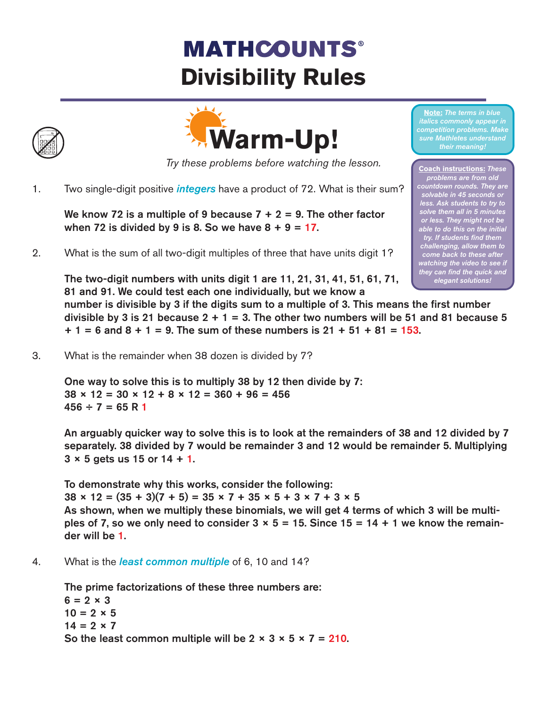# **MATHCOUNTS® Divisibility Rules**





*Try these problems before watching the lesson.*

1. Two single-digit positive *integers* have a product of 72. What is their sum?

We know 72 is a multiple of 9 because  $7 + 2 = 9$ . The other factor when 72 is divided by 9 is 8. So we have  $8 + 9 = 17$ .

2. What is the sum of all two-digit multiples of three that have units digit 1?

The two-digit numbers with units digit 1 are 11, 21, 31, 41, 51, 61, 71, 81 and 91. We could test each one individually, but we know a number is divisible by 3 if the digits sum to a multiple of 3. This means the first number divisible by 3 is 21 because  $2 + 1 = 3$ . The other two numbers will be 51 and 81 because 5  $+ 1 = 6$  and  $8 + 1 = 9$ . The sum of these numbers is  $21 + 51 + 81 = 153$ . *elegant solutions!*

3. What is the remainder when 38 dozen is divided by 7?

One way to solve this is to multiply 38 by 12 then divide by 7:  $38 \times 12 = 30 \times 12 + 8 \times 12 = 360 + 96 = 456$  $456 \div 7 = 65$  R 1

An arguably quicker way to solve this is to look at the remainders of 38 and 12 divided by 7 separately. 38 divided by 7 would be remainder 3 and 12 would be remainder 5. Multiplying  $3 \times 5$  gets us 15 or 14 + 1.

To demonstrate why this works, consider the following:  $38 \times 12 = (35 + 3)(7 + 5) = 35 \times 7 + 35 \times 5 + 3 \times 7 + 3 \times 5$ As shown, when we multiply these binomials, we will get 4 terms of which 3 will be multiples of 7, so we only need to consider  $3 \times 5 = 15$ . Since  $15 = 14 + 1$  we know the remainder will be 1.

4. What is the *least common multiple* of 6, 10 and 14?

The prime factorizations of these three numbers are:  $6 = 2 \times 3$  $10 = 2 \times 5$  $14 = 2 \times 7$ So the least common multiple will be  $2 \times 3 \times 5 \times 7 = 210$ .

**Note:** *The terms in blue italics commonly appear in competition problems. Make sure Mathletes understand their meaning!*

**Coach instructions:** *These problems are from old countdown rounds. They are solvable in 45 seconds or less. Ask students to try to solve them all in 5 minutes or less. They might not be able to do this on the initial try. If students find them challenging, allow them to come back to these after watching the video to see if they can find the quick and*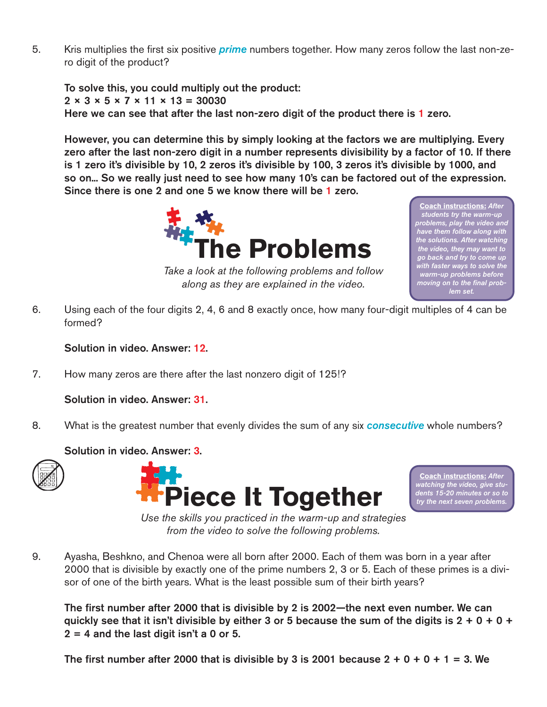5. Kris multiplies the first six positive *prime* numbers together. How many zeros follow the last non-zero digit of the product?

To solve this, you could multiply out the product:  $2 \times 3 \times 5 \times 7 \times 11 \times 13 = 30030$ Here we can see that after the last non-zero digit of the product there is 1 zero.

However, you can determine this by simply looking at the factors we are multiplying. Every zero after the last non-zero digit in a number represents divisibility by a factor of 10. If there is 1 zero it's divisible by 10, 2 zeros it's divisible by 100, 3 zeros it's divisible by 1000, and so on... So we really just need to see how many 10's can be factored out of the expression. Since there is one 2 and one 5 we know there will be 1 zero.



**Coach instructions:** *After students try the warm-up problems, play the video and have them follow along with the solutions. After watching the video, they may want to go back and try to come up with faster ways to solve the warm-up problems before moving on to the final problem set.* 

*Take a look at the following problems and follow along as they are explained in the video.*

6. Using each of the four digits 2, 4, 6 and 8 exactly once, how many four-digit multiples of 4 can be formed?

Solution in video. Answer: 12.

7. How many zeros are there after the last nonzero digit of 125!?

Solution in video. Answer: 31.

8. What is the greatest number that evenly divides the sum of any six *consecutive* whole numbers?

## Solution in video. Answer: 3.





**Coach instructions:** *After watching the video, give students 15-20 minutes or so to try the next seven problems.* 

*Use the skills you practiced in the warm-up and strategies from the video to solve the following problems.*

9. Ayasha, Beshkno, and Chenoa were all born after 2000. Each of them was born in a year after 2000 that is divisible by exactly one of the prime numbers 2, 3 or 5. Each of these primes is a divisor of one of the birth years. What is the least possible sum of their birth years?

The first number after 2000 that is divisible by 2 is 2002—the next even number. We can quickly see that it isn't divisible by either 3 or 5 because the sum of the digits is  $2 + 0 + 0 +$  $2 = 4$  and the last digit isn't a 0 or 5.

The first number after 2000 that is divisible by 3 is 2001 because  $2 + 0 + 0 + 1 = 3$ . We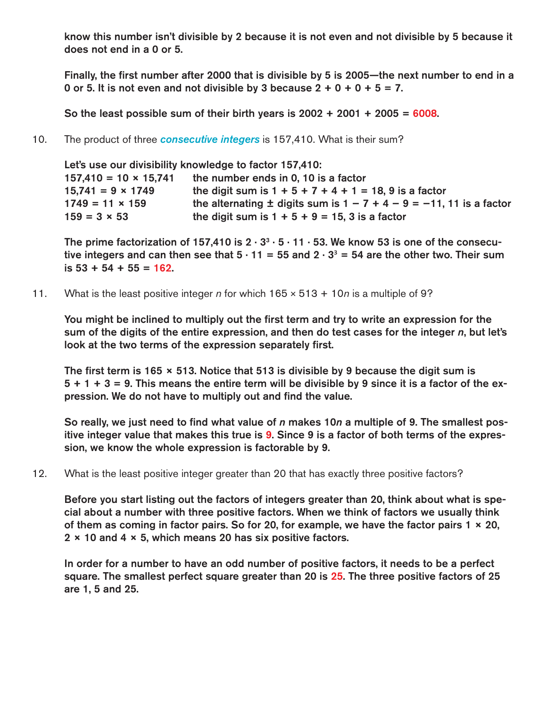know this number isn't divisible by 2 because it is not even and not divisible by 5 because it does not end in a 0 or 5.

Finally, the first number after 2000 that is divisible by 5 is 2005—the next number to end in a 0 or 5. It is not even and not divisible by 3 because  $2 + 0 + 0 + 5 = 7$ .

So the least possible sum of their birth years is  $2002 + 2001 + 2005 = 6008$ .

10. The product of three *consecutive integers* is 157,410. What is their sum?

Let's use our divisibility knowledge to factor 157,410: 157,410 = 10  $\times$  15,741 the number ends in 0, 10 is a factor 15,741 =  $9 \times 1749$  the digit sum is  $1 + 5 + 7 + 4 + 1 = 18$ , 9 is a factor 1749 = 11 × 159 the alternating  $\pm$  digits sum is 1 – 7 + 4 – 9 = –11, 11 is a factor  $159 = 3 \times 53$  the digit sum is  $1 + 5 + 9 = 15$ , 3 is a factor

The prime factorization of 157,410 is  $2 \cdot 3^3 \cdot 5 \cdot 11 \cdot 53$ . We know 53 is one of the consecutive integers and can then see that  $5 \cdot 11 = 55$  and  $2 \cdot 3^3 = 54$  are the other two. Their sum is 53 + 54 + 55 = 162.

11. What is the least positive integer *n* for which 165 × 513 + 10*n* is a multiple of 9?

You might be inclined to multiply out the first term and try to write an expression for the sum of the digits of the entire expression, and then do test cases for the integer *n*, but let's look at the two terms of the expression separately first.

The first term is 165  $\times$  513. Notice that 513 is divisible by 9 because the digit sum is  $5 + 1 + 3 = 9$ . This means the entire term will be divisible by 9 since it is a factor of the expression. We do not have to multiply out and find the value.

So really, we just need to find what value of *n* makes 10*n* a multiple of 9. The smallest positive integer value that makes this true is 9. Since 9 is a factor of both terms of the expression, we know the whole expression is factorable by 9.

12. What is the least positive integer greater than 20 that has exactly three positive factors?

Before you start listing out the factors of integers greater than 20, think about what is special about a number with three positive factors. When we think of factors we usually think of them as coming in factor pairs. So for 20, for example, we have the factor pairs  $1 \times 20$ , 2 × 10 and 4 × 5, which means 20 has six positive factors.

In order for a number to have an odd number of positive factors, it needs to be a perfect square. The smallest perfect square greater than 20 is 25. The three positive factors of 25 are 1, 5 and 25.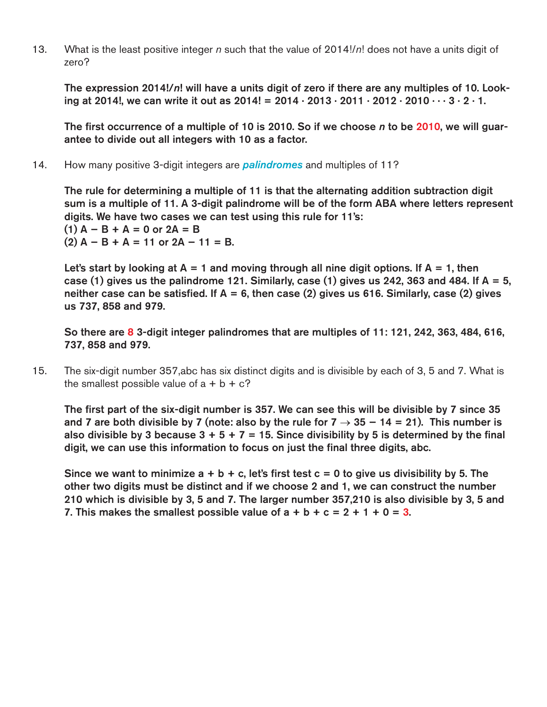13. What is the least positive integer *n* such that the value of 2014!/*n*! does not have a units digit of zero?

The expression 2014!/*n*! will have a units digit of zero if there are any multiples of 10. Looking at 2014!, we can write it out as  $2014! = 2014 \cdot 2013 \cdot 2011 \cdot 2012 \cdot 2010 \cdot \cdot \cdot 3 \cdot 2 \cdot 1$ .

The first occurrence of a multiple of 10 is 2010. So if we choose *n* to be 2010, we will guarantee to divide out all integers with 10 as a factor.

14. How many positive 3-digit integers are *palindromes* and multiples of 11?

The rule for determining a multiple of 11 is that the alternating addition subtraction digit sum is a multiple of 11. A 3-digit palindrome will be of the form ABA where letters represent digits. We have two cases we can test using this rule for 11's:  $(1)$  A – B + A = 0 or 2A = B  $(2)$  A – B + A = 11 or 2A – 11 = B.

Let's start by looking at  $A = 1$  and moving through all nine digit options. If  $A = 1$ , then case (1) gives us the palindrome 121. Similarly, case (1) gives us 242, 363 and 484. If  $A = 5$ , neither case can be satisfied. If  $A = 6$ , then case (2) gives us 616. Similarly, case (2) gives us 737, 858 and 979.

So there are 8 3-digit integer palindromes that are multiples of 11: 121, 242, 363, 484, 616, 737, 858 and 979.

15. The six-digit number 357,abc has six distinct digits and is divisible by each of 3, 5 and 7. What is the smallest possible value of  $a + b + c$ ?

The first part of the six-digit number is 357. We can see this will be divisible by 7 since 35 and 7 are both divisible by 7 (note: also by the rule for  $7 \rightarrow 35 - 14 = 21$ ). This number is also divisible by 3 because  $3 + 5 + 7 = 15$ . Since divisibility by 5 is determined by the final digit, we can use this information to focus on just the final three digits, abc.

Since we want to minimize  $a + b + c$ , let's first test  $c = 0$  to give us divisibility by 5. The other two digits must be distinct and if we choose 2 and 1, we can construct the number 210 which is divisible by 3, 5 and 7. The larger number 357,210 is also divisible by 3, 5 and 7. This makes the smallest possible value of  $a + b + c = 2 + 1 + 0 = 3$ .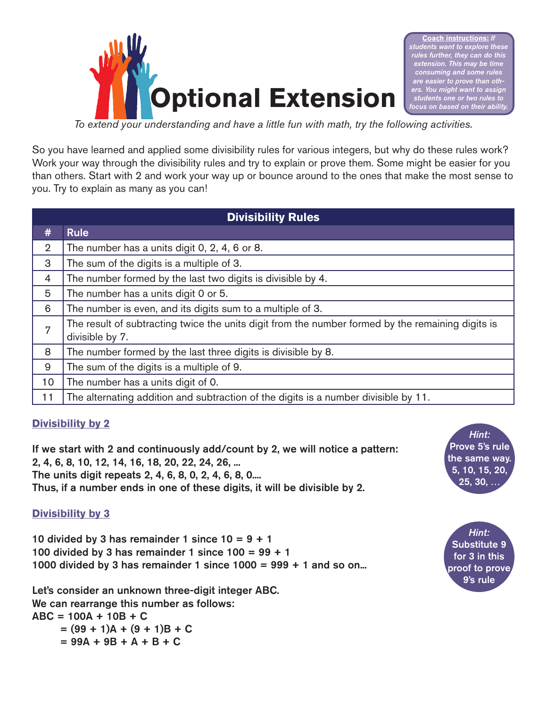

**Coach instructions:** *If students want to explore these rules further, they can do this extension. This may be time consuming and some rules <u>easier</u> to prove than others. You might want to assign students one or two rules to focus on based on their ability.*

*To extend your understanding and have a little fun with math, try the following activities.*

So you have learned and applied some divisibility rules for various integers, but why do these rules work? Work your way through the divisibility rules and try to explain or prove them. Some might be easier for you than others. Start with 2 and work your way up or bounce around to the ones that make the most sense to you. Try to explain as many as you can!

| <b>Divisibility Rules</b> |                                                                                                                      |  |
|---------------------------|----------------------------------------------------------------------------------------------------------------------|--|
| #                         | <b>Rule</b>                                                                                                          |  |
| $\overline{2}$            | The number has a units digit 0, 2, 4, 6 or 8.                                                                        |  |
| 3                         | The sum of the digits is a multiple of 3.                                                                            |  |
| $\overline{4}$            | The number formed by the last two digits is divisible by 4.                                                          |  |
| 5                         | The number has a units digit 0 or 5.                                                                                 |  |
| 6                         | The number is even, and its digits sum to a multiple of 3.                                                           |  |
| 7                         | The result of subtracting twice the units digit from the number formed by the remaining digits is<br>divisible by 7. |  |
| 8                         | The number formed by the last three digits is divisible by 8.                                                        |  |
| 9                         | The sum of the digits is a multiple of 9.                                                                            |  |
| 10                        | The number has a units digit of 0.                                                                                   |  |
| 11                        | The alternating addition and subtraction of the digits is a number divisible by 11.                                  |  |

## **Divisibility by 2**

If we start with 2 and continuously add/count by 2, we will notice a pattern: 2, 4, 6, 8, 10, 12, 14, 16, 18, 20, 22, 24, 26, ... The units digit repeats 2, 4, 6, 8, 0, 2, 4, 6, 8, 0.... Thus, if a number ends in one of these digits, it will be divisible by 2.

## **Divisibility by 3**

10 divided by 3 has remainder 1 since  $10 = 9 + 1$ 100 divided by 3 has remainder 1 since  $100 = 99 + 1$ 1000 divided by 3 has remainder 1 since  $1000 = 999 + 1$  and so on...

Let's consider an unknown three-digit integer ABC. We can rearrange this number as follows:  $ABC = 100A + 10B + C$  $= (99 + 1)A + (9 + 1)B + C$ 

 $= 99A + 9B + A + B + C$ 

*Hint:* Prove 5's rule the same way. 5, 10, 15, 20, 25, 30, …

*Hint:* Substitute 9 for 3 in this proof to prove 9's rule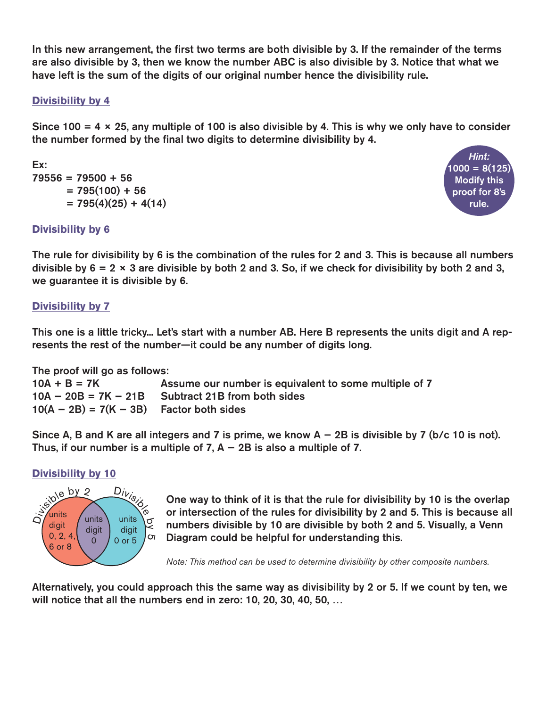In this new arrangement, the first two terms are both divisible by 3. If the remainder of the terms are also divisible by 3, then we know the number ABC is also divisible by 3. Notice that what we have left is the sum of the digits of our original number hence the divisibility rule.

## **Divisibility by 4**

Since 100 = 4  $\times$  25, any multiple of 100 is also divisible by 4. This is why we only have to consider the number formed by the final two digits to determine divisibility by 4.

# Ex:  $79556 = 79500 + 56$  $= 795(100) + 56$  $= 795(4)(25) + 4(14)$



## **Divisibility by 6**

The rule for divisibility by 6 is the combination of the rules for 2 and 3. This is because all numbers divisible by  $6 = 2 \times 3$  are divisible by both 2 and 3. So, if we check for divisibility by both 2 and 3, we guarantee it is divisible by 6.

## **Divisibility by 7**

This one is a little tricky... Let's start with a number AB. Here B represents the units digit and A represents the rest of the number—it could be any number of digits long.

The proof will go as follows:

| $10A + B = 7K$                             | Assume our number is equivalent to some multiple of 7 |
|--------------------------------------------|-------------------------------------------------------|
|                                            | $10A - 20B = 7K - 21B$ Subtract 21B from both sides   |
| $10(A - 2B) = 7(K - 3B)$ Factor both sides |                                                       |

Since A, B and K are all integers and 7 is prime, we know  $A - 2B$  is divisible by 7 (b/c 10 is not). Thus, if our number is a multiple of  $7$ , A  $-$  2B is also a multiple of 7.

## **Divisibility by 10**



One way to think of it is that the rule for divisibility by 10 is the overlap or intersection of the rules for divisibility by 2 and 5. This is because all numbers divisible by 10 are divisible by both 2 and 5. Visually, a Venn Diagram could be helpful for understanding this.

*Note: This method can be used to determine divisibility by other composite numbers.*

Alternatively, you could approach this the same way as divisibility by 2 or 5. If we count by ten, we will notice that all the numbers end in zero: 10, 20, 30, 40, 50, …